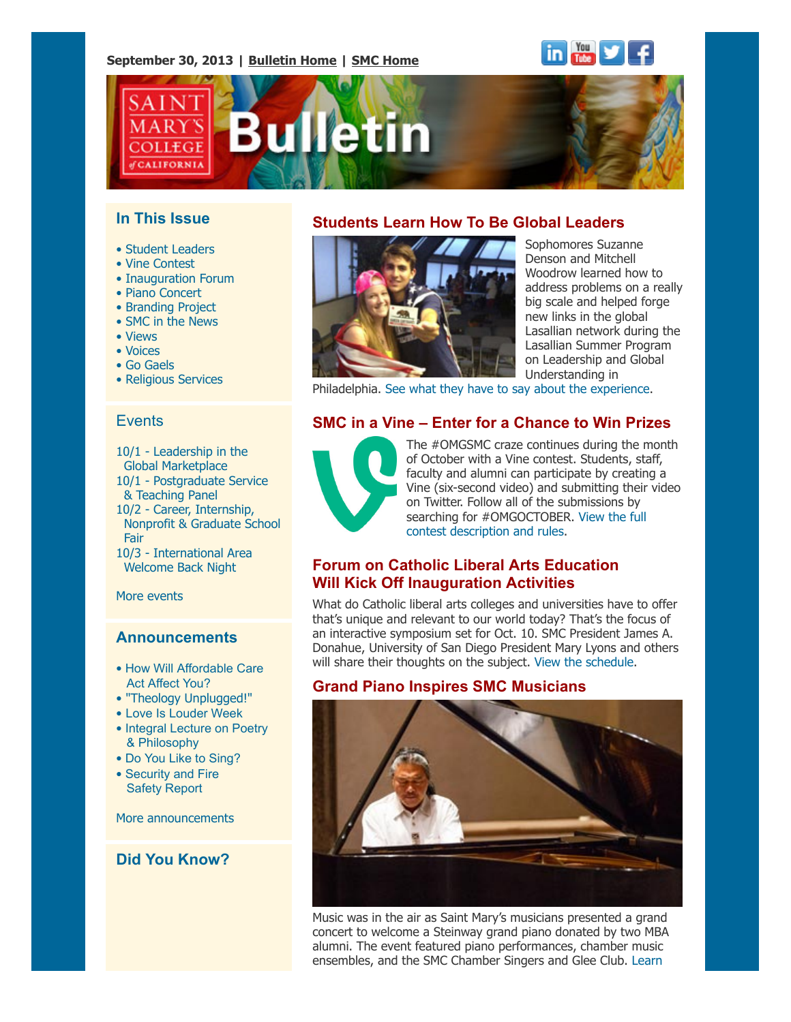#### **September 30, 2013 | [Bulletin Home](http://www.stmarys-ca.edu/smc-bulletin?utm_source=Bulletin&utm_medium=email&utm_campaign=09-30-2013) | [SMC Home](http://www.stmarys-ca.edu/?utm_source=Bulletin&utm_medium=email&utm_campaign=09-30-2013)**





### **In This Issue**

- • [Student Leaders](file:///Users/smallalieu/Documents/StMarys/Bulletin/Bulletin%2009_30_13/Bulletin_09_30_13_SENT.html#09_30_13_studentslearn)
- • [Vine Contest](file:///Users/smallalieu/Documents/StMarys/Bulletin/Bulletin%2009_30_13/Bulletin_09_30_13_SENT.html#09_30_13_vine)
- • [Inauguration Forum](file:///Users/smallalieu/Documents/StMarys/Bulletin/Bulletin%2009_30_13/Bulletin_09_30_13_SENT.html#09_30_13_inauguration)
- • [Piano Concert](file:///Users/smallalieu/Documents/StMarys/Bulletin/Bulletin%2009_30_13/Bulletin_09_30_13_SENT.html#09_30_13_piano)
- • [Branding Project](file:///Users/smallalieu/Documents/StMarys/Bulletin/Bulletin%2009_30_13/Bulletin_09_30_13_SENT.html#09_30_13_brandproj)
- • [SMC in the News](file:///Users/smallalieu/Documents/StMarys/Bulletin/Bulletin%2009_30_13/Bulletin_09_30_13_SENT.html#09_30_13_smcinnews)
- • [Views](file:///Users/smallalieu/Documents/StMarys/Bulletin/Bulletin%2009_30_13/Bulletin_09_30_13_SENT.html#09_30_13_views)
- • [Voices](file:///Users/smallalieu/Documents/StMarys/Bulletin/Bulletin%2009_30_13/Bulletin_09_30_13_SENT.html#09_30_13_voices)
- • [Go Gaels](file:///Users/smallalieu/Documents/StMarys/Bulletin/Bulletin%2009_30_13/Bulletin_09_30_13_SENT.html#09_30_13_gogaels)
- • [Religious Services](file:///Users/smallalieu/Documents/StMarys/Bulletin/Bulletin%2009_30_13/Bulletin_09_30_13_SENT.html#09_30_13_relserv)

#### **Events**

- 10/1 [Leadership in the](http://www.stmarys-ca.edu/leadership-in-the-global-marketplace?utm_source=Bulletin&utm_medium=email&utm_campaign=9-30-2013)  [Global Marketplace](http://www.stmarys-ca.edu/leadership-in-the-global-marketplace?utm_source=Bulletin&utm_medium=email&utm_campaign=9-30-2013)
- 10/1 [Postgraduate Service](http://www.stmarys-ca.edu/postgraduate-service-teaching-panel?utm_source=Bulletin&utm_medium=email&utm_campaign=9-30-2013)  [& Teaching Panel](http://www.stmarys-ca.edu/postgraduate-service-teaching-panel?utm_source=Bulletin&utm_medium=email&utm_campaign=9-30-2013)
- 10/2 [Career, Internship,](http://www.stmarys-ca.edu/career-internship-nonprofit-graduate-school-fair?utm_source=Bulletin&utm_medium=email&utm_campaign=9-30-2013)
- [Nonprofit & Graduate School](http://www.stmarys-ca.edu/career-internship-nonprofit-graduate-school-fair?utm_source=Bulletin&utm_medium=email&utm_campaign=9-30-2013) [Fair](http://www.stmarys-ca.edu/career-internship-nonprofit-graduate-school-fair?utm_source=Bulletin&utm_medium=email&utm_campaign=9-30-2013)
- 10/3 [International Area](http://www.stmarys-ca.edu/international-area-studies-welcome-back-night?utm_source=Bulletin&utm_medium=email&utm_campaign=9-30-2013) [Welcome Back Night](http://www.stmarys-ca.edu/international-area-studies-welcome-back-night?utm_source=Bulletin&utm_medium=email&utm_campaign=9-30-2013)

[More events](http://www.stmarys-ca.edu/calendar/63?utm_source=Bulletin&utm_medium=email&utm_campaign=09-30-2013)

#### **Announcements**

- [How Will Affordable Care](http://www.stmarys-ca.edu/affordable-care-act?utm_source=Bulletin&utm_medium=email&utm_campaign=9-30-2013) [Act Affect You?](http://www.stmarys-ca.edu/affordable-care-act?utm_source=Bulletin&utm_medium=email&utm_campaign=9-30-2013)
- • ["Theology Unplugged!"](http://www.stmarys-ca.edu/theology-unplugged-3?utm_source=Bulletin&utm_medium=email&utm_campaign=9-30-2013)
- [Love Is Louder Week](http://www.stmarys-ca.edu/love-is-louder-week?utm_source=Bulletin&utm_medium=email&utm_campaign=9-30-2013)
- [Integral Lecture on Poetry](http://www.stmarys-ca.edu/integral-program-lecture-on-poetry-and-philosophy?utm_source=Bulletin&utm_medium=email&utm_campaign=9-30-2013) [& Philosophy](http://www.stmarys-ca.edu/integral-program-lecture-on-poetry-and-philosophy?utm_source=Bulletin&utm_medium=email&utm_campaign=9-30-2013)
- [Do You Like to Sing?](http://www.stmarys-ca.edu/do-you-like-to-sing-consider-joining-saint-giles-singers)
- [Security and Fire](http://www.stmarys-ca.edu/2013-security-and-fire-safety-report-and-college-safety-information-1?utm_source=Bulletin&utm_medium=email&utm_campaign=9-30-2013) [Safety Report](http://www.stmarys-ca.edu/2013-security-and-fire-safety-report-and-college-safety-information-1?utm_source=Bulletin&utm_medium=email&utm_campaign=9-30-2013)

[More announcements](http://www.stmarys-ca.edu/smc-bulletin/announcements?utm_source=Bulletin&utm_medium=email&utm_campaign=09-30-2013)

# **Did You Know?**

## **Students Learn How To Be Global Leaders**



Sophomores Suzanne Denson and Mitchell Woodrow learned how to address problems on a really big scale and helped forge new links in the global Lasallian network during the Lasallian Summer Program on Leadership and Global Understanding in

Philadelphia. [See what they have to say about the experience.](http://www.stmarys-ca.edu/students-learn-how-to-be-leaders-on-a-global-scale?utm_source=Bulletin&utm_medium=email&utm_campaign=9-30-2013)

## **SMC in a Vine – Enter for a Chance to Win Prizes**



The #OMGSMC craze continues during the month of October with a Vine contest. Students, staff, faculty and alumni can participate by creating a Vine (six-second video) and submitting their video on Twitter. Follow all of the submissions by [searching for #OMGOCTOBER. View the full](http://www.stmarys-ca.edu/omgoctober?utm_source=Bulletin&utm_medium=email&utm_campaign=9-30-2013) contest description and rules.

### **Forum on Catholic Liberal Arts Education Will Kick Off Inauguration Activities**

What do Catholic liberal arts colleges and universities have to offer that's unique and relevant to our world today? That's the focus of an interactive symposium set for Oct. 10. SMC President James A. Donahue, University of San Diego President Mary Lyons and others will share their thoughts on the subject. [View the schedule.](http://www.stmarys-ca.edu/president/inauguration/schedule-of-events?utm_source=Bulletin&utm_medium=email&utm_campaign=9-30-2013)

### **Grand Piano Inspires SMC Musicians**



Music was in the air as Saint Mary's musicians presented a grand concert to welcome a Steinway grand piano donated by two MBA alumni. The event featured piano performances, chamber music ensembles, and the SMC Chamber Singers and Glee Club. [Learn](http://www.stmarys-ca.edu/node/34646?utm_source=Bulletin&utm_medium=email&utm_campaign=9-30-2013)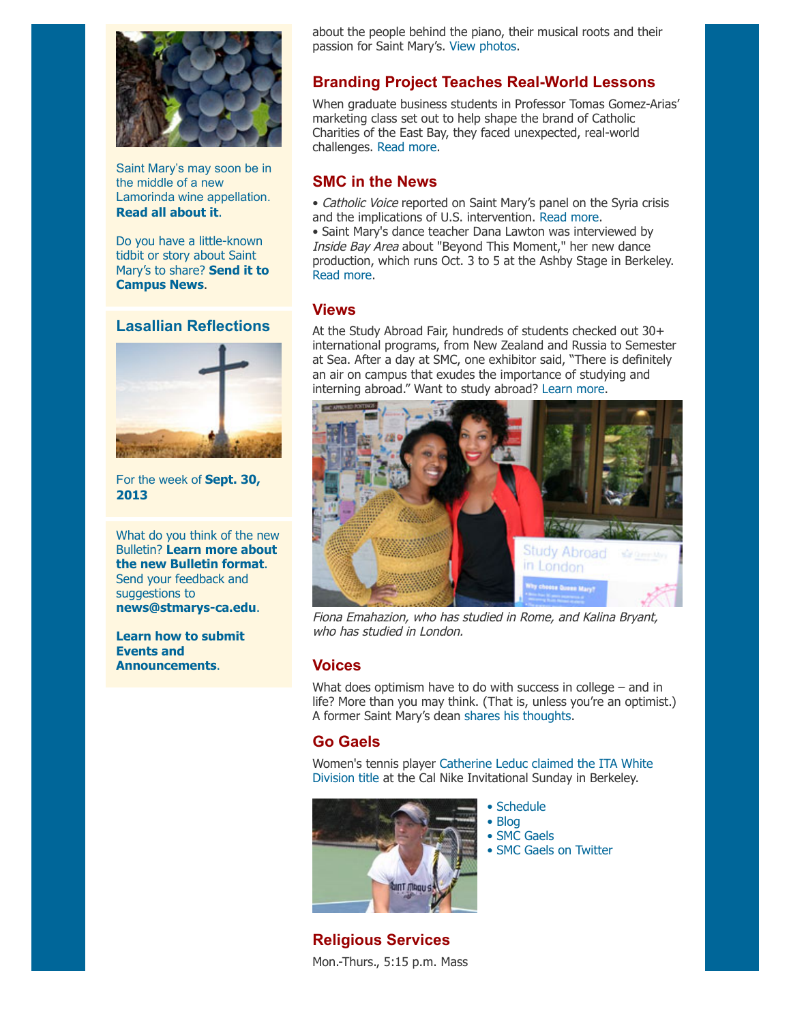

Saint Mary's may soon be in the middle of a new Lamorinda wine appellation. **[Read all about it](https://www.lamorindaweekly.com/archive/issue0709/Lamorinda-Gets-Closer-to-Official-Wine-Region-Designation.html?utm_source=Bulletin&utm_medium=email&utm_campaign=9-30-2013)**[.](https://www.lamorindaweekly.com/archive/issue0709/Lamorinda-Gets-Closer-to-Official-Wine-Region-Designation.html?utm_source=Bulletin&utm_medium=email&utm_campaign=9-30-2013)

Do you have a little-known tidbit or story about Saint Mary's to share? **Send it to [Campus News](mailto:news@stmarys-ca.edu)**.

#### **Lasallian Reflections**



[For the week of](http://www.stmarys-ca.edu/living-lasallian/lasallian-reflections?utm_source=Bulletin&utm_medium=email&utm_campaign=09-30-2013) **Sept. 30, 2013**

What do you think of the new Bulletin? **Learn more about [the new Bulletin format](http://www.stmarys-ca.edu/smcs-new-campus-newsletter-launches?utm_source=Bulletin&utm_medium=email&utm_campaign=9-30-2013)**. Send your feedback and suggestions to **[news@stmarys-ca.edu](mailto:news@stmarys-ca.edu)**.

**[Learn how to submit](http://www.stmarys-ca.edu/how-to-create-event-listings-and-announcements?utm_source=Bulletin&utm_medium=email&utm_campaign=9-30-2013) Events and Announcements**.

about the people behind the piano, their musical roots and their passion for Saint Mary's. [View photos.](http://www.stmarys-ca.edu/concert-to-celebrate-gift-of-steinway-grand-piano?utm_source=Bulletin&utm_medium=email&utm_campaign=9-30-2013)

#### **Branding Project Teaches Real-World Lessons**

When graduate business students in Professor Tomas Gomez-Arias' marketing class set out to help shape the brand of Catholic Charities of the East Bay, they faced unexpected, real-world challenges. [Read more.](http://www.stmarys-ca.edu/real-world-challenges-real-world-solutions?utm_source=Bulletin&utm_medium=email&utm_campaign=9-30-2013)

#### **SMC in the News**

• Catholic Voice reported on Saint Mary's panel on the Syria crisis and the implications of U.S. intervention. [Read more.](http://www.catholicvoiceoakland.org/2013/09-23/inthisissue10.htm?utm_source=Bulletin&utm_medium=email&utm_campaign=9-30-2013)

• Saint Mary's dance teacher Dana Lawton was interviewed by Inside Bay Area about "Beyond This Moment," her new dance production, which runs Oct. 3 to 5 at the Ashby Stage in Berkeley. [Read more.](http://www.insidebayarea.com/breaking-news/ci_24176162/berkeley-dance-work-premieres-at-ashby-stage?source=rss&utm_source=Bulletin&utm_medium=email&utm_campaign=9-30-2013)

#### **Views**

At the Study Abroad Fair, hundreds of students checked out 30+ international programs, from New Zealand and Russia to Semester at Sea. After a day at SMC, one exhibitor said, "There is definitely an air on campus that exudes the importance of studying and interning abroad." Want to study abroad? [Learn more](http://www.stmarys-ca.edu/study-abroad?utm_source=Bulletin&utm_medium=email&utm_campaign=9-30-2013).



Fiona Emahazion, who has studied in Rome, and Kalina Bryant, who has studied in London.

#### **Voices**

What does optimism have to do with success in college – and in life? More than you may think. (That is, unless you're an optimist.) A former Saint Mary's dean [shares his thoughts.](http://napavalleyregister.com/star/news/opinion/columnists/tom-brown/the-advising-dean-on-singing-optimism-and-success/article_b5a3f510-14e8-11e3-8bde-0019bb2963f4.html?utm_source=Bulletin&utm_medium=email&utm_campaign=9-30-2013)

#### **Go Gaels**

[Women's tennis player Catherine Leduc claimed the ITA White](http://www.smcgaels.com/ViewArticle.dbml?DB_LANG=C&DB_OEM_ID=21400&ATCLID=209270905&utm_source=Bulletin&utm_medium=email&utm_campaign=9-30-2013) Division title at the Cal Nike Invitational Sunday in Berkeley.



- • [Schedule](http://www.smcgaels.com/main/Schedule.dbml?utm_source=Bulletin&utm_medium=email&utm_campaign=9-30-2013) • [Blog](http://smcgaels.wordpress.com/?utm_source=Bulletin&utm_medium=email&utm_campaign=9-30-2013)
- • [SMC Gaels](http://www.smcgaels.com/?utm_source=Bulletin&utm_medium=email&utm_campaign=9-30-2013)
- • [SMC Gaels on Twitter](https://twitter.com/smcgaels?utm_source=Bulletin&utm_medium=email&utm_campaign=9-30-2013)

**Religious Services** Mon.-Thurs., 5:15 p.m. Mass